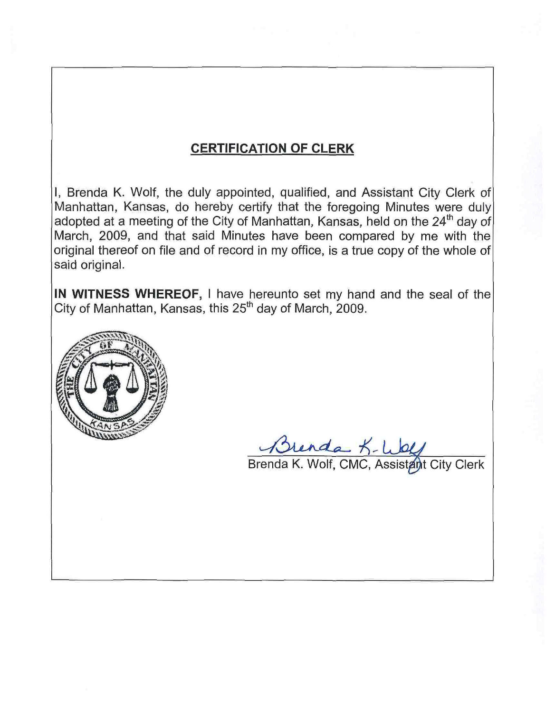### **CERTIFICATION OF CLERK**

I, Brenda K. Wolf, the duly appointed, qualified, and Assistant City Clerk of Manhattan, Kansas, do hereby certify that the foregoing Minutes were duly adopted at a meeting of the City of Manhattan, Kansas, held on the 24<sup>th</sup> day of March, 2009, and that said Minutes have been compared by me with the original thereof on file and of record in my office, is a true copy of the whole of said original.

IN WITNESS WHEREOF, I have hereunto set my hand and the seal of the City of Manhattan, Kansas, this 25<sup>th</sup> day of March, 2009.



Brenda K- Wolf<br>Brenda K. Wolf, CMC, Assistant City Clerk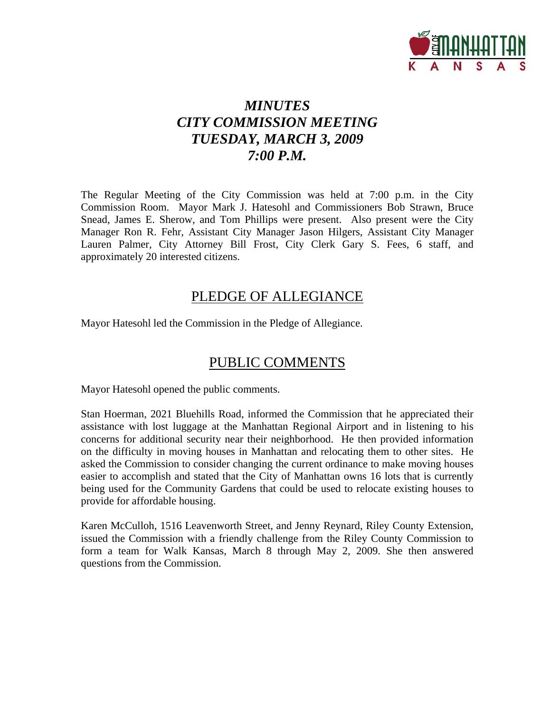

# *MINUTES CITY COMMISSION MEETING TUESDAY, MARCH 3, 2009 7:00 P.M.*

The Regular Meeting of the City Commission was held at 7:00 p.m. in the City Commission Room. Mayor Mark J. Hatesohl and Commissioners Bob Strawn, Bruce Snead, James E. Sherow, and Tom Phillips were present. Also present were the City Manager Ron R. Fehr, Assistant City Manager Jason Hilgers, Assistant City Manager Lauren Palmer, City Attorney Bill Frost, City Clerk Gary S. Fees, 6 staff, and approximately 20 interested citizens.

### PLEDGE OF ALLEGIANCE

Mayor Hatesohl led the Commission in the Pledge of Allegiance.

### PUBLIC COMMENTS

Mayor Hatesohl opened the public comments.

Stan Hoerman, 2021 Bluehills Road, informed the Commission that he appreciated their assistance with lost luggage at the Manhattan Regional Airport and in listening to his concerns for additional security near their neighborhood. He then provided information on the difficulty in moving houses in Manhattan and relocating them to other sites. He asked the Commission to consider changing the current ordinance to make moving houses easier to accomplish and stated that the City of Manhattan owns 16 lots that is currently being used for the Community Gardens that could be used to relocate existing houses to provide for affordable housing.

Karen McCulloh, 1516 Leavenworth Street, and Jenny Reynard, Riley County Extension, issued the Commission with a friendly challenge from the Riley County Commission to form a team for Walk Kansas, March 8 through May 2, 2009. She then answered questions from the Commission.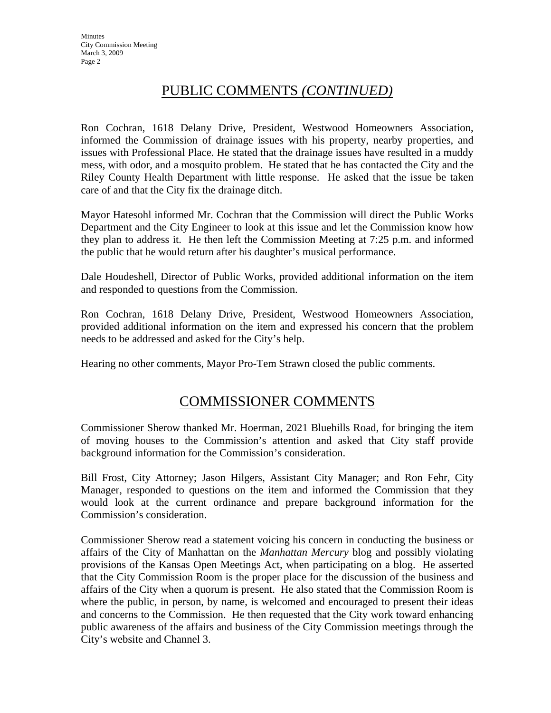### PUBLIC COMMENTS *(CONTINUED)*

Ron Cochran, 1618 Delany Drive, President, Westwood Homeowners Association, informed the Commission of drainage issues with his property, nearby properties, and issues with Professional Place. He stated that the drainage issues have resulted in a muddy mess, with odor, and a mosquito problem. He stated that he has contacted the City and the Riley County Health Department with little response. He asked that the issue be taken care of and that the City fix the drainage ditch.

Mayor Hatesohl informed Mr. Cochran that the Commission will direct the Public Works Department and the City Engineer to look at this issue and let the Commission know how they plan to address it. He then left the Commission Meeting at 7:25 p.m. and informed the public that he would return after his daughter's musical performance.

Dale Houdeshell, Director of Public Works, provided additional information on the item and responded to questions from the Commission.

Ron Cochran, 1618 Delany Drive, President, Westwood Homeowners Association, provided additional information on the item and expressed his concern that the problem needs to be addressed and asked for the City's help.

Hearing no other comments, Mayor Pro-Tem Strawn closed the public comments.

### COMMISSIONER COMMENTS

Commissioner Sherow thanked Mr. Hoerman, 2021 Bluehills Road, for bringing the item of moving houses to the Commission's attention and asked that City staff provide background information for the Commission's consideration.

Bill Frost, City Attorney; Jason Hilgers, Assistant City Manager; and Ron Fehr, City Manager, responded to questions on the item and informed the Commission that they would look at the current ordinance and prepare background information for the Commission's consideration.

Commissioner Sherow read a statement voicing his concern in conducting the business or affairs of the City of Manhattan on the *Manhattan Mercury* blog and possibly violating provisions of the Kansas Open Meetings Act, when participating on a blog. He asserted that the City Commission Room is the proper place for the discussion of the business and affairs of the City when a quorum is present. He also stated that the Commission Room is where the public, in person, by name, is welcomed and encouraged to present their ideas and concerns to the Commission. He then requested that the City work toward enhancing public awareness of the affairs and business of the City Commission meetings through the City's website and Channel 3.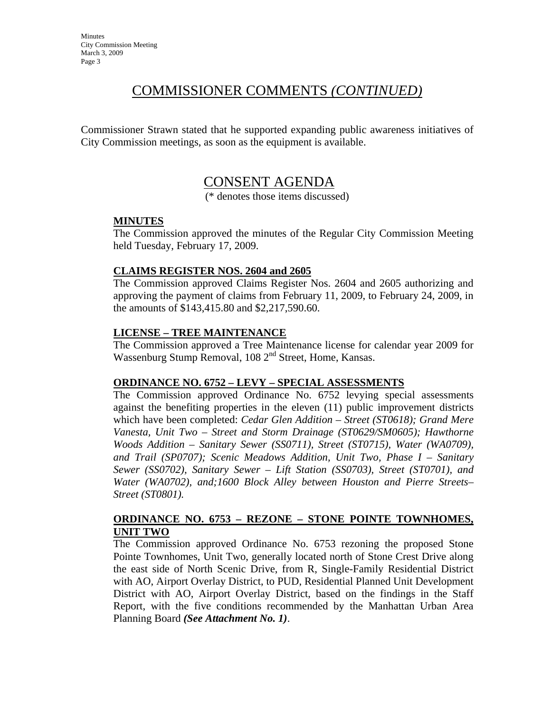### COMMISSIONER COMMENTS *(CONTINUED)*

Commissioner Strawn stated that he supported expanding public awareness initiatives of City Commission meetings, as soon as the equipment is available.

# CONSENT AGENDA

(\* denotes those items discussed)

#### **MINUTES**

The Commission approved the minutes of the Regular City Commission Meeting held Tuesday, February 17, 2009.

#### **CLAIMS REGISTER NOS. 2604 and 2605**

The Commission approved Claims Register Nos. 2604 and 2605 authorizing and approving the payment of claims from February 11, 2009, to February 24, 2009, in the amounts of \$143,415.80 and \$2,217,590.60.

#### **LICENSE – TREE MAINTENANCE**

The Commission approved a Tree Maintenance license for calendar year 2009 for Wassenburg Stump Removal,  $108 \, 2^{nd}$  Street, Home, Kansas.

#### **ORDINANCE NO. 6752 – LEVY – SPECIAL ASSESSMENTS**

The Commission approved Ordinance No. 6752 levying special assessments against the benefiting properties in the eleven (11) public improvement districts which have been completed: *Cedar Glen Addition – Street (ST0618); Grand Mere Vanesta, Unit Two – Street and Storm Drainage (ST0629/SM0605); Hawthorne Woods Addition – Sanitary Sewer (SS0711), Street (ST0715), Water (WA0709), and Trail (SP0707); Scenic Meadows Addition, Unit Two, Phase I – Sanitary Sewer (SS0702), Sanitary Sewer – Lift Station (SS0703), Street (ST0701), and Water (WA0702), and;1600 Block Alley between Houston and Pierre Streets– Street (ST0801).* 

#### **ORDINANCE NO. 6753 – REZONE – STONE POINTE TOWNHOMES, UNIT TWO**

The Commission approved Ordinance No. 6753 rezoning the proposed Stone Pointe Townhomes, Unit Two, generally located north of Stone Crest Drive along the east side of North Scenic Drive, from R, Single-Family Residential District with AO, Airport Overlay District, to PUD, Residential Planned Unit Development District with AO, Airport Overlay District, based on the findings in the Staff Report, with the five conditions recommended by the Manhattan Urban Area Planning Board *(See Attachment No. 1)*.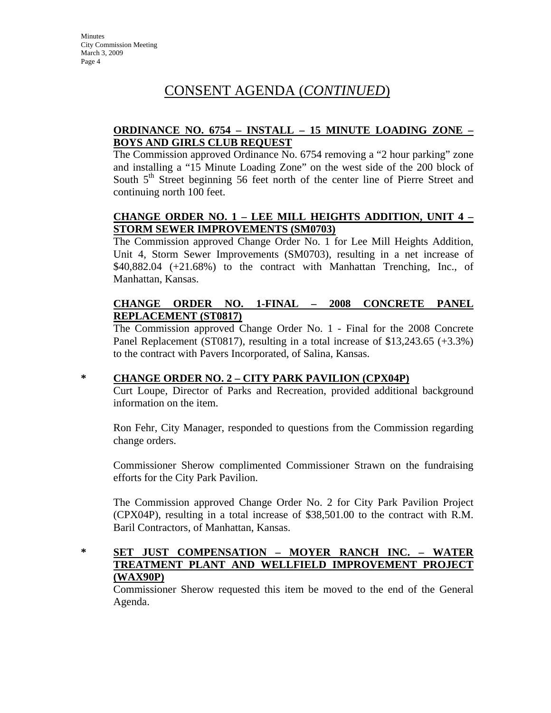### CONSENT AGENDA (*CONTINUED*)

#### **ORDINANCE NO. 6754 – INSTALL – 15 MINUTE LOADING ZONE – BOYS AND GIRLS CLUB REQUEST**

The Commission approved Ordinance No. 6754 removing a "2 hour parking" zone and installing a "15 Minute Loading Zone" on the west side of the 200 block of South  $5<sup>th</sup>$  Street beginning 56 feet north of the center line of Pierre Street and continuing north 100 feet.

#### **CHANGE ORDER NO. 1 – LEE MILL HEIGHTS ADDITION, UNIT 4 – STORM SEWER IMPROVEMENTS (SM0703)**

The Commission approved Change Order No. 1 for Lee Mill Heights Addition, Unit 4, Storm Sewer Improvements (SM0703), resulting in a net increase of \$40,882.04 (+21.68%) to the contract with Manhattan Trenching, Inc., of Manhattan, Kansas.

#### **CHANGE ORDER NO. 1-FINAL – 2008 CONCRETE PANEL REPLACEMENT (ST0817)**

The Commission approved Change Order No. 1 - Final for the 2008 Concrete Panel Replacement (ST0817), resulting in a total increase of \$13,243.65 (+3.3%) to the contract with Pavers Incorporated, of Salina, Kansas.

#### **\* CHANGE ORDER NO. 2 – CITY PARK PAVILION (CPX04P)**

Curt Loupe, Director of Parks and Recreation, provided additional background information on the item.

Ron Fehr, City Manager, responded to questions from the Commission regarding change orders.

Commissioner Sherow complimented Commissioner Strawn on the fundraising efforts for the City Park Pavilion.

The Commission approved Change Order No. 2 for City Park Pavilion Project (CPX04P), resulting in a total increase of \$38,501.00 to the contract with R.M. Baril Contractors, of Manhattan, Kansas.

#### **\* SET JUST COMPENSATION – MOYER RANCH INC. – WATER TREATMENT PLANT AND WELLFIELD IMPROVEMENT PROJECT (WAX90P)**

Commissioner Sherow requested this item be moved to the end of the General Agenda.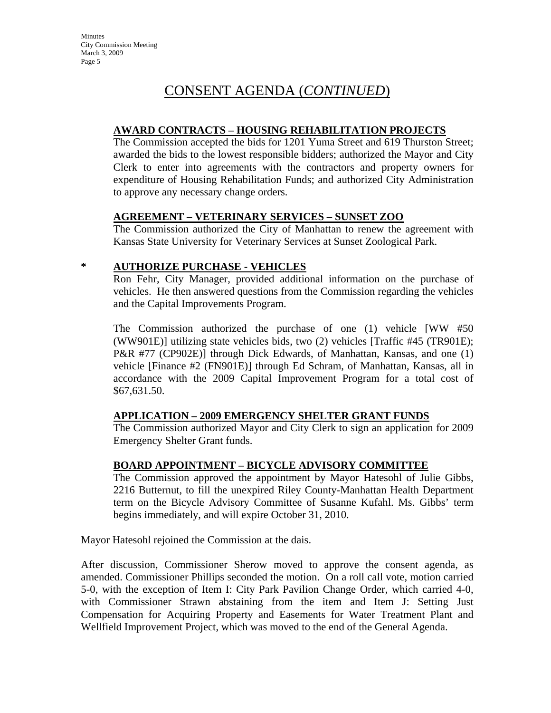# CONSENT AGENDA (*CONTINUED*)

#### **AWARD CONTRACTS – HOUSING REHABILITATION PROJECTS**

The Commission accepted the bids for 1201 Yuma Street and 619 Thurston Street; awarded the bids to the lowest responsible bidders; authorized the Mayor and City Clerk to enter into agreements with the contractors and property owners for expenditure of Housing Rehabilitation Funds; and authorized City Administration to approve any necessary change orders.

#### **AGREEMENT – VETERINARY SERVICES – SUNSET ZOO**

The Commission authorized the City of Manhattan to renew the agreement with Kansas State University for Veterinary Services at Sunset Zoological Park.

#### **\* AUTHORIZE PURCHASE - VEHICLES**

Ron Fehr, City Manager, provided additional information on the purchase of vehicles. He then answered questions from the Commission regarding the vehicles and the Capital Improvements Program.

The Commission authorized the purchase of one (1) vehicle [WW #50 (WW901E)] utilizing state vehicles bids, two (2) vehicles [Traffic #45 (TR901E); P&R #77 (CP902E)] through Dick Edwards, of Manhattan, Kansas, and one (1) vehicle [Finance #2 (FN901E)] through Ed Schram, of Manhattan, Kansas, all in accordance with the 2009 Capital Improvement Program for a total cost of \$67,631.50.

#### **APPLICATION – 2009 EMERGENCY SHELTER GRANT FUNDS**

The Commission authorized Mayor and City Clerk to sign an application for 2009 Emergency Shelter Grant funds.

#### **BOARD APPOINTMENT – BICYCLE ADVISORY COMMITTEE**

The Commission approved the appointment by Mayor Hatesohl of Julie Gibbs, 2216 Butternut, to fill the unexpired Riley County-Manhattan Health Department term on the Bicycle Advisory Committee of Susanne Kufahl. Ms. Gibbs' term begins immediately, and will expire October 31, 2010.

Mayor Hatesohl rejoined the Commission at the dais.

After discussion, Commissioner Sherow moved to approve the consent agenda, as amended. Commissioner Phillips seconded the motion. On a roll call vote, motion carried 5-0, with the exception of Item I: City Park Pavilion Change Order, which carried 4-0, with Commissioner Strawn abstaining from the item and Item J: Setting Just Compensation for Acquiring Property and Easements for Water Treatment Plant and Wellfield Improvement Project, which was moved to the end of the General Agenda.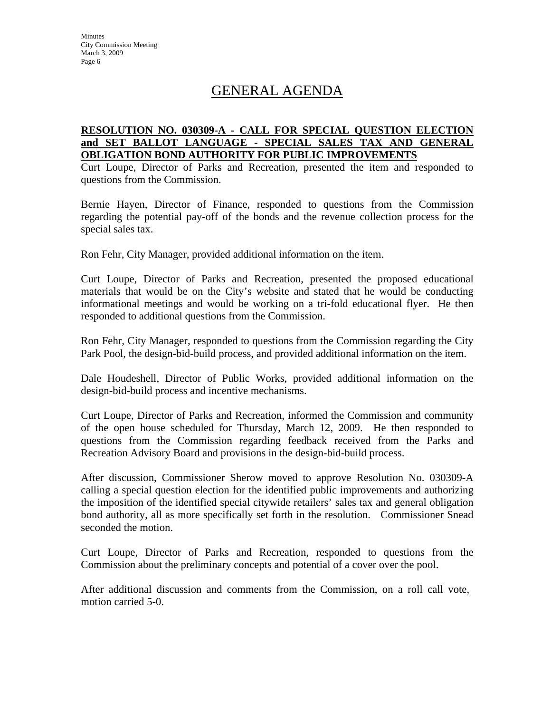# GENERAL AGENDA

#### **RESOLUTION NO. 030309-A - CALL FOR SPECIAL QUESTION ELECTION and SET BALLOT LANGUAGE - SPECIAL SALES TAX AND GENERAL OBLIGATION BOND AUTHORITY FOR PUBLIC IMPROVEMENTS**

Curt Loupe, Director of Parks and Recreation, presented the item and responded to questions from the Commission.

Bernie Hayen, Director of Finance, responded to questions from the Commission regarding the potential pay-off of the bonds and the revenue collection process for the special sales tax.

Ron Fehr, City Manager, provided additional information on the item.

Curt Loupe, Director of Parks and Recreation, presented the proposed educational materials that would be on the City's website and stated that he would be conducting informational meetings and would be working on a tri-fold educational flyer. He then responded to additional questions from the Commission.

Ron Fehr, City Manager, responded to questions from the Commission regarding the City Park Pool, the design-bid-build process, and provided additional information on the item.

Dale Houdeshell, Director of Public Works, provided additional information on the design-bid-build process and incentive mechanisms.

Curt Loupe, Director of Parks and Recreation, informed the Commission and community of the open house scheduled for Thursday, March 12, 2009. He then responded to questions from the Commission regarding feedback received from the Parks and Recreation Advisory Board and provisions in the design-bid-build process.

After discussion, Commissioner Sherow moved to approve Resolution No. 030309-A calling a special question election for the identified public improvements and authorizing the imposition of the identified special citywide retailers' sales tax and general obligation bond authority, all as more specifically set forth in the resolution. Commissioner Snead seconded the motion.

Curt Loupe, Director of Parks and Recreation, responded to questions from the Commission about the preliminary concepts and potential of a cover over the pool.

After additional discussion and comments from the Commission, on a roll call vote, motion carried 5-0.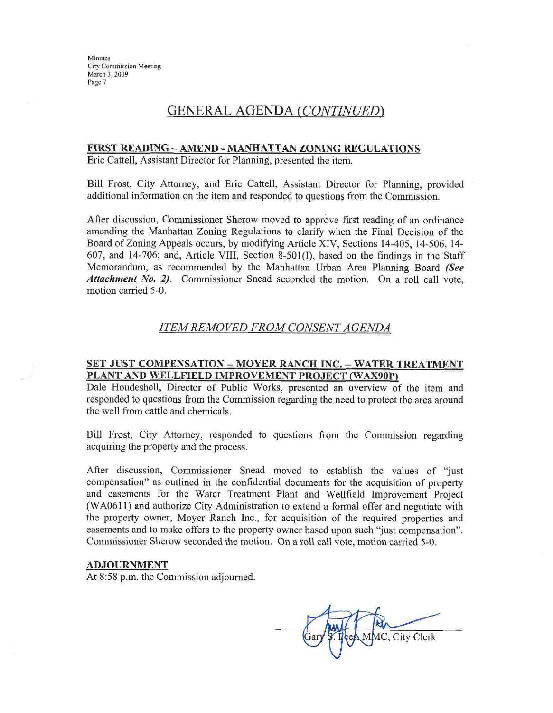**Minutes City Commission Meeting** March 3, 2009 Page 7

### **GENERAL AGENDA (CONTINUED)**

#### FIRST READING - AMEND - MANHATTAN ZONING REGULATIONS

Eric Cattell, Assistant Director for Planning, presented the item.

Bill Frost, City Attorney, and Eric Cattell, Assistant Director for Planning, provided additional information on the item and responded to questions from the Commission.

After discussion, Commissioner Sherow moved to approve first reading of an ordinance amending the Manhattan Zoning Regulations to clarify when the Final Decision of the Board of Zoning Appeals occurs, by modifying Article XIV, Sections 14-405, 14-506, 14-607, and 14-706; and, Article VIII, Section 8-501(I), based on the findings in the Staff Memorandum, as recommended by the Manhattan Urban Area Planning Board (See Attachment No. 2). Commissioner Snead seconded the motion. On a roll call vote, motion carried 5-0.

#### **ITEM REMOVED FROM CONSENT AGENDA**

#### SET JUST COMPENSATION - MOYER RANCH INC. - WATER TREATMENT PLANT AND WELLFIELD IMPROVEMENT PROJECT (WAX90P)

Dale Houdeshell, Director of Public Works, presented an overview of the item and responded to questions from the Commission regarding the need to protect the area around the well from cattle and chemicals.

Bill Frost, City Attorney, responded to questions from the Commission regarding acquiring the property and the process.

After discussion, Commissioner Snead moved to establish the values of "just compensation" as outlined in the confidential documents for the acquisition of property and easements for the Water Treatment Plant and Wellfield Improvement Project (WA0611) and authorize City Administration to extend a formal offer and negotiate with the property owner, Moyer Ranch Inc., for acquisition of the required properties and easements and to make offers to the property owner based upon such "just compensation". Commissioner Sherow seconded the motion. On a roll call vote, motion carried 5-0.

#### **ADJOURNMENT**

At 8:58 p.m. the Commission adjourned.

IC, City Clerk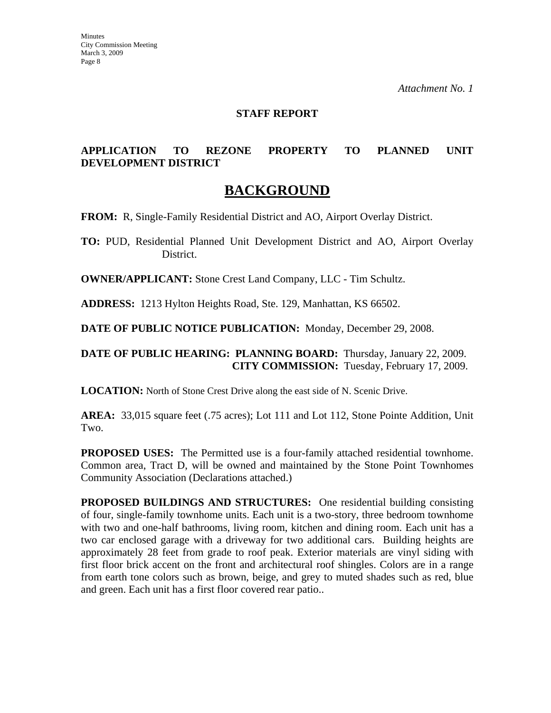#### **STAFF REPORT**

#### **APPLICATION TO REZONE PROPERTY TO PLANNED UNIT DEVELOPMENT DISTRICT**

### **BACKGROUND**

**FROM:** R, Single-Family Residential District and AO, Airport Overlay District.

**TO:** PUD, Residential Planned Unit Development District and AO, Airport Overlay District.

**OWNER/APPLICANT:** Stone Crest Land Company, LLC - Tim Schultz.

**ADDRESS:** 1213 Hylton Heights Road, Ste. 129, Manhattan, KS 66502.

**DATE OF PUBLIC NOTICE PUBLICATION:** Monday, December 29, 2008.

#### **DATE OF PUBLIC HEARING: PLANNING BOARD:** Thursday, January 22, 2009. **CITY COMMISSION:** Tuesday, February 17, 2009.

**LOCATION:** North of Stone Crest Drive along the east side of N. Scenic Drive.

**AREA:** 33,015 square feet (.75 acres); Lot 111 and Lot 112, Stone Pointe Addition, Unit Two.

**PROPOSED USES:** The Permitted use is a four-family attached residential townhome. Common area, Tract D, will be owned and maintained by the Stone Point Townhomes Community Association (Declarations attached.)

**PROPOSED BUILDINGS AND STRUCTURES:** One residential building consisting of four, single-family townhome units. Each unit is a two-story, three bedroom townhome with two and one-half bathrooms, living room, kitchen and dining room. Each unit has a two car enclosed garage with a driveway for two additional cars. Building heights are approximately 28 feet from grade to roof peak. Exterior materials are vinyl siding with first floor brick accent on the front and architectural roof shingles. Colors are in a range from earth tone colors such as brown, beige, and grey to muted shades such as red, blue and green. Each unit has a first floor covered rear patio..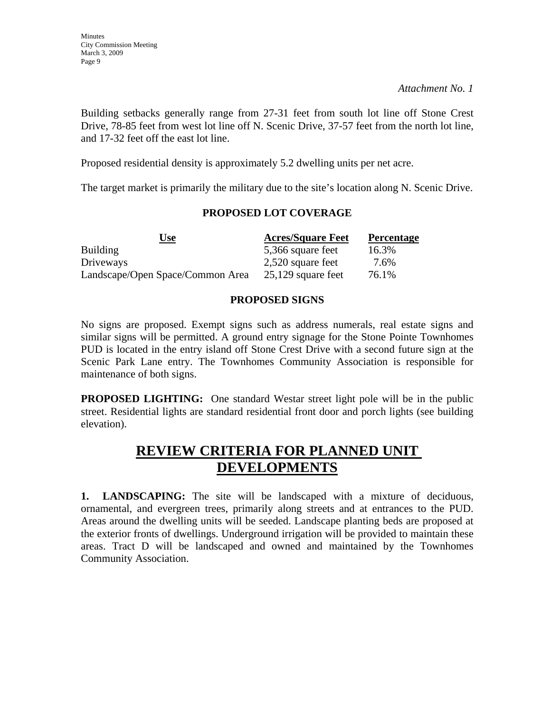Building setbacks generally range from 27-31 feet from south lot line off Stone Crest Drive, 78-85 feet from west lot line off N. Scenic Drive, 37-57 feet from the north lot line, and 17-32 feet off the east lot line.

Proposed residential density is approximately 5.2 dwelling units per net acre.

The target market is primarily the military due to the site's location along N. Scenic Drive.

#### **PROPOSED LOT COVERAGE**

| Use<br>$\overline{\phantom{a}}$  | <b>Acres/Square Feet</b> | <b>Percentage</b> |
|----------------------------------|--------------------------|-------------------|
| <b>Building</b>                  | 5,366 square feet        | 16.3%             |
| Driveways                        | 2,520 square feet        | 7.6%              |
| Landscape/Open Space/Common Area | $25,129$ square feet     | 76.1%             |

#### **PROPOSED SIGNS**

No signs are proposed. Exempt signs such as address numerals, real estate signs and similar signs will be permitted. A ground entry signage for the Stone Pointe Townhomes PUD is located in the entry island off Stone Crest Drive with a second future sign at the Scenic Park Lane entry. The Townhomes Community Association is responsible for maintenance of both signs.

**PROPOSED LIGHTING:** One standard Westar street light pole will be in the public street. Residential lights are standard residential front door and porch lights (see building elevation).

# **REVIEW CRITERIA FOR PLANNED UNIT DEVELOPMENTS**

**1. LANDSCAPING:** The site will be landscaped with a mixture of deciduous, ornamental, and evergreen trees, primarily along streets and at entrances to the PUD. Areas around the dwelling units will be seeded. Landscape planting beds are proposed at the exterior fronts of dwellings. Underground irrigation will be provided to maintain these areas. Tract D will be landscaped and owned and maintained by the Townhomes Community Association.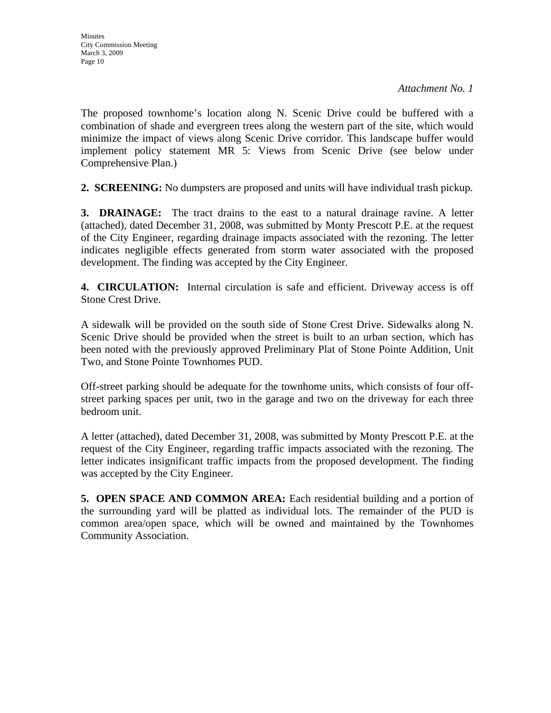The proposed townhome's location along N. Scenic Drive could be buffered with a combination of shade and evergreen trees along the western part of the site, which would minimize the impact of views along Scenic Drive corridor. This landscape buffer would implement policy statement MR 5: Views from Scenic Drive (see below under Comprehensive Plan.)

**2. SCREENING:** No dumpsters are proposed and units will have individual trash pickup.

**3. DRAINAGE:** The tract drains to the east to a natural drainage ravine. A letter (attached), dated December 31, 2008, was submitted by Monty Prescott P.E. at the request of the City Engineer, regarding drainage impacts associated with the rezoning. The letter indicates negligible effects generated from storm water associated with the proposed development. The finding was accepted by the City Engineer.

**4. CIRCULATION:** Internal circulation is safe and efficient. Driveway access is off Stone Crest Drive.

A sidewalk will be provided on the south side of Stone Crest Drive. Sidewalks along N. Scenic Drive should be provided when the street is built to an urban section, which has been noted with the previously approved Preliminary Plat of Stone Pointe Addition, Unit Two, and Stone Pointe Townhomes PUD.

Off-street parking should be adequate for the townhome units, which consists of four offstreet parking spaces per unit, two in the garage and two on the driveway for each three bedroom unit.

A letter (attached), dated December 31, 2008, was submitted by Monty Prescott P.E. at the request of the City Engineer, regarding traffic impacts associated with the rezoning. The letter indicates insignificant traffic impacts from the proposed development. The finding was accepted by the City Engineer.

**5. OPEN SPACE AND COMMON AREA:** Each residential building and a portion of the surrounding yard will be platted as individual lots. The remainder of the PUD is common area/open space, which will be owned and maintained by the Townhomes Community Association.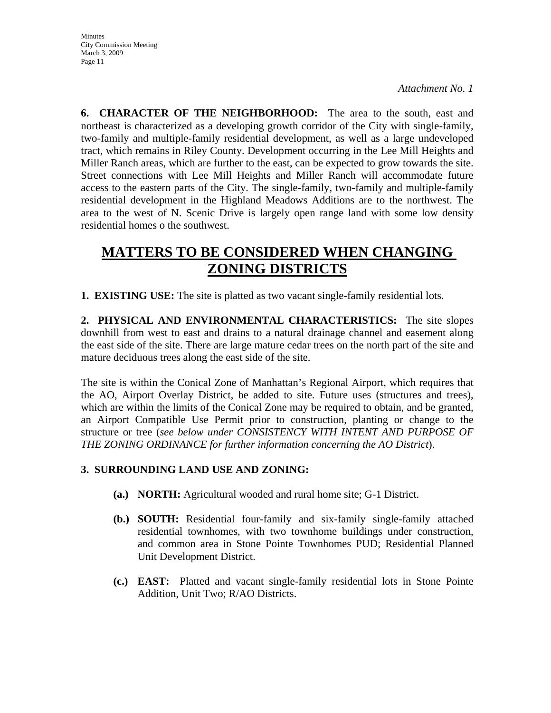**6. CHARACTER OF THE NEIGHBORHOOD:** The area to the south, east and northeast is characterized as a developing growth corridor of the City with single-family, two-family and multiple-family residential development, as well as a large undeveloped tract, which remains in Riley County. Development occurring in the Lee Mill Heights and Miller Ranch areas, which are further to the east, can be expected to grow towards the site. Street connections with Lee Mill Heights and Miller Ranch will accommodate future access to the eastern parts of the City. The single-family, two-family and multiple-family residential development in the Highland Meadows Additions are to the northwest. The area to the west of N. Scenic Drive is largely open range land with some low density residential homes o the southwest.

# **MATTERS TO BE CONSIDERED WHEN CHANGING ZONING DISTRICTS**

**1. EXISTING USE:** The site is platted as two vacant single-family residential lots.

**2. PHYSICAL AND ENVIRONMENTAL CHARACTERISTICS:** The site slopes downhill from west to east and drains to a natural drainage channel and easement along the east side of the site. There are large mature cedar trees on the north part of the site and mature deciduous trees along the east side of the site.

The site is within the Conical Zone of Manhattan's Regional Airport, which requires that the AO, Airport Overlay District, be added to site. Future uses (structures and trees), which are within the limits of the Conical Zone may be required to obtain, and be granted, an Airport Compatible Use Permit prior to construction, planting or change to the structure or tree (*see below under CONSISTENCY WITH INTENT AND PURPOSE OF THE ZONING ORDINANCE for further information concerning the AO District*).

#### **3. SURROUNDING LAND USE AND ZONING:**

- **(a.) NORTH:** Agricultural wooded and rural home site; G-1 District.
- **(b.) SOUTH:** Residential four-family and six-family single-family attached residential townhomes, with two townhome buildings under construction, and common area in Stone Pointe Townhomes PUD; Residential Planned Unit Development District.
- **(c.) EAST:** Platted and vacant single-family residential lots in Stone Pointe Addition, Unit Two; R/AO Districts.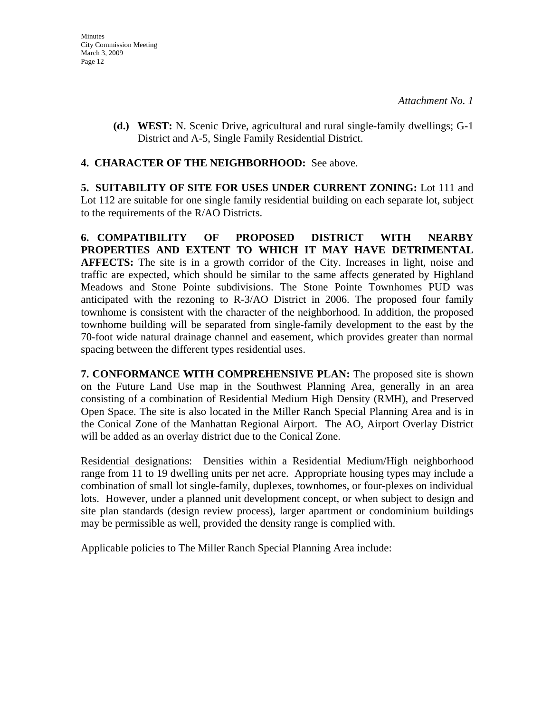**(d.) WEST:** N. Scenic Drive, agricultural and rural single-family dwellings; G-1 District and A-5, Single Family Residential District.

#### **4. CHARACTER OF THE NEIGHBORHOOD:** See above.

**5. SUITABILITY OF SITE FOR USES UNDER CURRENT ZONING:** Lot 111 and Lot 112 are suitable for one single family residential building on each separate lot, subject to the requirements of the R/AO Districts.

**6. COMPATIBILITY OF PROPOSED DISTRICT WITH NEARBY PROPERTIES AND EXTENT TO WHICH IT MAY HAVE DETRIMENTAL AFFECTS:** The site is in a growth corridor of the City. Increases in light, noise and traffic are expected, which should be similar to the same affects generated by Highland Meadows and Stone Pointe subdivisions. The Stone Pointe Townhomes PUD was anticipated with the rezoning to R-3/AO District in 2006. The proposed four family townhome is consistent with the character of the neighborhood. In addition, the proposed townhome building will be separated from single-family development to the east by the 70-foot wide natural drainage channel and easement, which provides greater than normal spacing between the different types residential uses.

**7. CONFORMANCE WITH COMPREHENSIVE PLAN:** The proposed site is shown on the Future Land Use map in the Southwest Planning Area, generally in an area consisting of a combination of Residential Medium High Density (RMH), and Preserved Open Space. The site is also located in the Miller Ranch Special Planning Area and is in the Conical Zone of the Manhattan Regional Airport. The AO, Airport Overlay District will be added as an overlay district due to the Conical Zone.

Residential designations: Densities within a Residential Medium/High neighborhood range from 11 to 19 dwelling units per net acre. Appropriate housing types may include a combination of small lot single-family, duplexes, townhomes, or four-plexes on individual lots. However, under a planned unit development concept, or when subject to design and site plan standards (design review process), larger apartment or condominium buildings may be permissible as well, provided the density range is complied with.

Applicable policies to The Miller Ranch Special Planning Area include: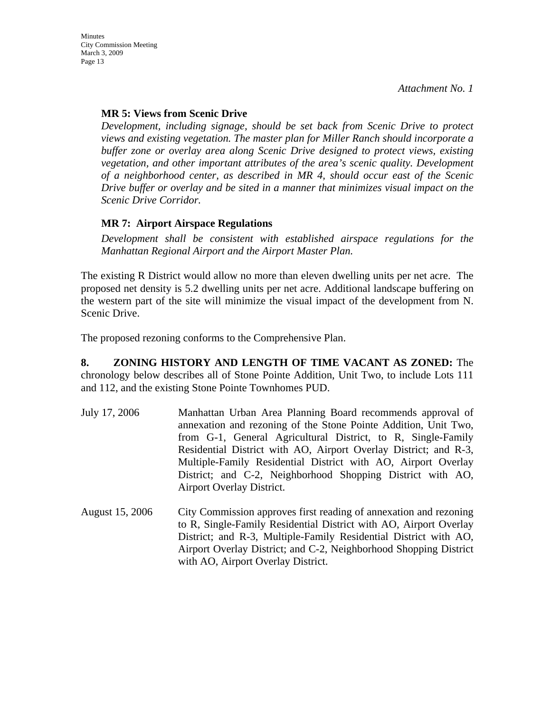### **MR 5: Views from Scenic Drive**

*Development, including signage, should be set back from Scenic Drive to protect views and existing vegetation. The master plan for Miller Ranch should incorporate a buffer zone or overlay area along Scenic Drive designed to protect views, existing vegetation, and other important attributes of the area's scenic quality. Development of a neighborhood center, as described in MR 4, should occur east of the Scenic Drive buffer or overlay and be sited in a manner that minimizes visual impact on the Scenic Drive Corridor.* 

#### **MR 7: Airport Airspace Regulations**

*Development shall be consistent with established airspace regulations for the Manhattan Regional Airport and the Airport Master Plan.* 

The existing R District would allow no more than eleven dwelling units per net acre. The proposed net density is 5.2 dwelling units per net acre. Additional landscape buffering on the western part of the site will minimize the visual impact of the development from N. Scenic Drive.

The proposed rezoning conforms to the Comprehensive Plan.

**8. ZONING HISTORY AND LENGTH OF TIME VACANT AS ZONED:** The chronology below describes all of Stone Pointe Addition, Unit Two, to include Lots 111 and 112, and the existing Stone Pointe Townhomes PUD.

- July 17, 2006 Manhattan Urban Area Planning Board recommends approval of annexation and rezoning of the Stone Pointe Addition, Unit Two, from G-1, General Agricultural District, to R, Single-Family Residential District with AO, Airport Overlay District; and R-3, Multiple-Family Residential District with AO, Airport Overlay District; and C-2, Neighborhood Shopping District with AO, Airport Overlay District.
- August 15, 2006 City Commission approves first reading of annexation and rezoning to R, Single-Family Residential District with AO, Airport Overlay District; and R-3, Multiple-Family Residential District with AO, Airport Overlay District; and C-2, Neighborhood Shopping District with AO, Airport Overlay District.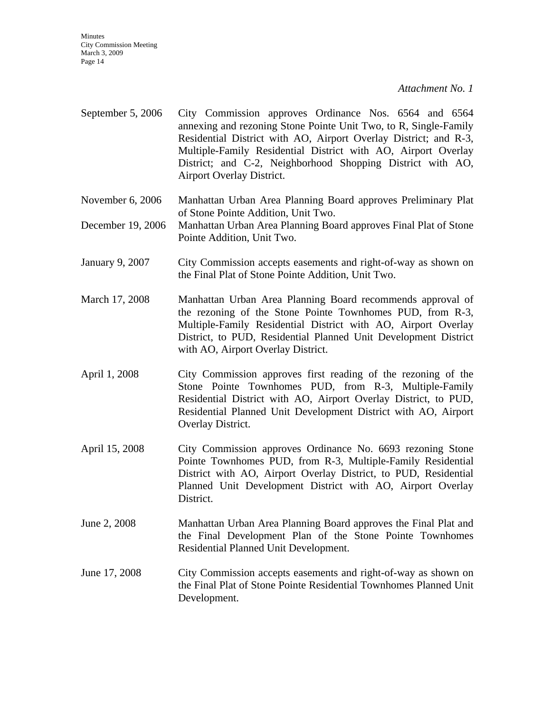**Minutes** City Commission Meeting March 3, 2009 Page 14

*Attachment No. 1*

- September 5, 2006 City Commission approves Ordinance Nos. 6564 and 6564 annexing and rezoning Stone Pointe Unit Two, to R, Single-Family Residential District with AO, Airport Overlay District; and R-3, Multiple-Family Residential District with AO, Airport Overlay District; and C-2, Neighborhood Shopping District with AO, Airport Overlay District.
- November 6, 2006 Manhattan Urban Area Planning Board approves Preliminary Plat of Stone Pointe Addition, Unit Two.
- December 19, 2006 Manhattan Urban Area Planning Board approves Final Plat of Stone Pointe Addition, Unit Two.
- January 9, 2007 City Commission accepts easements and right-of-way as shown on the Final Plat of Stone Pointe Addition, Unit Two.
- March 17, 2008 Manhattan Urban Area Planning Board recommends approval of the rezoning of the Stone Pointe Townhomes PUD, from R-3, Multiple-Family Residential District with AO, Airport Overlay District, to PUD, Residential Planned Unit Development District with AO, Airport Overlay District.
- April 1, 2008 City Commission approves first reading of the rezoning of the Stone Pointe Townhomes PUD, from R-3, Multiple-Family Residential District with AO, Airport Overlay District, to PUD, Residential Planned Unit Development District with AO, Airport Overlay District.
- April 15, 2008 City Commission approves Ordinance No. 6693 rezoning Stone Pointe Townhomes PUD, from R-3, Multiple-Family Residential District with AO, Airport Overlay District, to PUD, Residential Planned Unit Development District with AO, Airport Overlay District.
- June 2, 2008 Manhattan Urban Area Planning Board approves the Final Plat and the Final Development Plan of the Stone Pointe Townhomes Residential Planned Unit Development.
- June 17, 2008 City Commission accepts easements and right-of-way as shown on the Final Plat of Stone Pointe Residential Townhomes Planned Unit Development.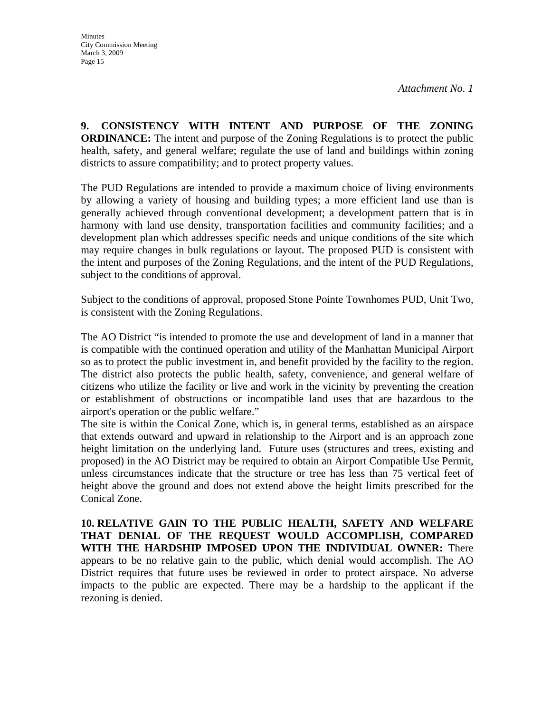**9. CONSISTENCY WITH INTENT AND PURPOSE OF THE ZONING ORDINANCE:** The intent and purpose of the Zoning Regulations is to protect the public health, safety, and general welfare; regulate the use of land and buildings within zoning districts to assure compatibility; and to protect property values.

The PUD Regulations are intended to provide a maximum choice of living environments by allowing a variety of housing and building types; a more efficient land use than is generally achieved through conventional development; a development pattern that is in harmony with land use density, transportation facilities and community facilities; and a development plan which addresses specific needs and unique conditions of the site which may require changes in bulk regulations or layout. The proposed PUD is consistent with the intent and purposes of the Zoning Regulations, and the intent of the PUD Regulations, subject to the conditions of approval.

Subject to the conditions of approval, proposed Stone Pointe Townhomes PUD, Unit Two, is consistent with the Zoning Regulations.

The AO District "is intended to promote the use and development of land in a manner that is compatible with the continued operation and utility of the Manhattan Municipal Airport so as to protect the public investment in, and benefit provided by the facility to the region. The district also protects the public health, safety, convenience, and general welfare of citizens who utilize the facility or live and work in the vicinity by preventing the creation or establishment of obstructions or incompatible land uses that are hazardous to the airport's operation or the public welfare."

The site is within the Conical Zone, which is, in general terms, established as an airspace that extends outward and upward in relationship to the Airport and is an approach zone height limitation on the underlying land. Future uses (structures and trees, existing and proposed) in the AO District may be required to obtain an Airport Compatible Use Permit, unless circumstances indicate that the structure or tree has less than 75 vertical feet of height above the ground and does not extend above the height limits prescribed for the Conical Zone.

**10. RELATIVE GAIN TO THE PUBLIC HEALTH, SAFETY AND WELFARE THAT DENIAL OF THE REQUEST WOULD ACCOMPLISH, COMPARED WITH THE HARDSHIP IMPOSED UPON THE INDIVIDUAL OWNER:** There appears to be no relative gain to the public, which denial would accomplish. The AO District requires that future uses be reviewed in order to protect airspace. No adverse impacts to the public are expected. There may be a hardship to the applicant if the rezoning is denied.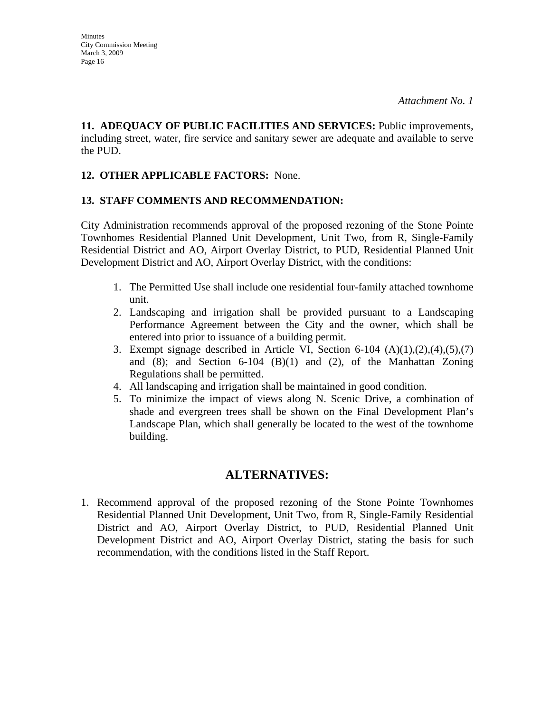**11. ADEQUACY OF PUBLIC FACILITIES AND SERVICES:** Public improvements, including street, water, fire service and sanitary sewer are adequate and available to serve the PUD.

#### **12. OTHER APPLICABLE FACTORS:** None.

#### **13. STAFF COMMENTS AND RECOMMENDATION:**

City Administration recommends approval of the proposed rezoning of the Stone Pointe Townhomes Residential Planned Unit Development, Unit Two, from R, Single-Family Residential District and AO, Airport Overlay District, to PUD, Residential Planned Unit Development District and AO, Airport Overlay District, with the conditions:

- 1. The Permitted Use shall include one residential four-family attached townhome unit.
- 2. Landscaping and irrigation shall be provided pursuant to a Landscaping Performance Agreement between the City and the owner, which shall be entered into prior to issuance of a building permit.
- 3. Exempt signage described in Article VI, Section 6-104  $(A)(1),(2),(4),(5),(7)$ and  $(8)$ ; and Section 6-104  $(B)(1)$  and  $(2)$ , of the Manhattan Zoning Regulations shall be permitted.
- 4. All landscaping and irrigation shall be maintained in good condition.
- 5. To minimize the impact of views along N. Scenic Drive, a combination of shade and evergreen trees shall be shown on the Final Development Plan's Landscape Plan, which shall generally be located to the west of the townhome building.

### **ALTERNATIVES:**

1. Recommend approval of the proposed rezoning of the Stone Pointe Townhomes Residential Planned Unit Development, Unit Two, from R, Single-Family Residential District and AO, Airport Overlay District, to PUD, Residential Planned Unit Development District and AO, Airport Overlay District, stating the basis for such recommendation, with the conditions listed in the Staff Report.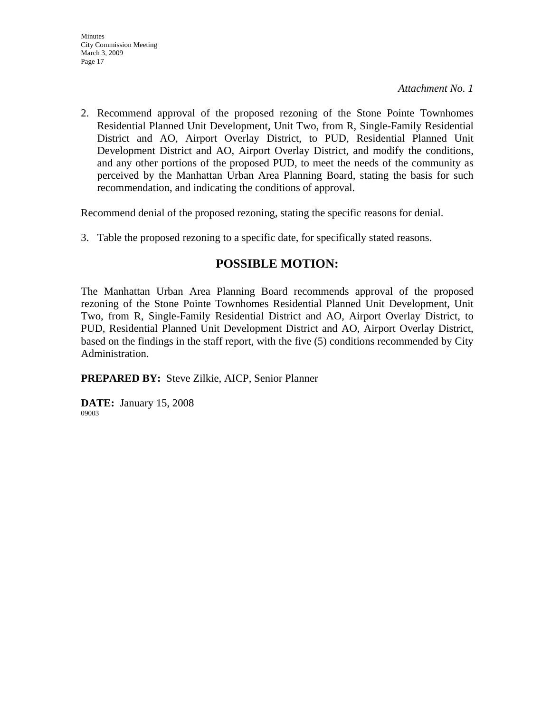2. Recommend approval of the proposed rezoning of the Stone Pointe Townhomes Residential Planned Unit Development, Unit Two, from R, Single-Family Residential District and AO, Airport Overlay District, to PUD, Residential Planned Unit Development District and AO, Airport Overlay District, and modify the conditions, and any other portions of the proposed PUD, to meet the needs of the community as perceived by the Manhattan Urban Area Planning Board, stating the basis for such recommendation, and indicating the conditions of approval.

Recommend denial of the proposed rezoning, stating the specific reasons for denial.

3. Table the proposed rezoning to a specific date, for specifically stated reasons.

### **POSSIBLE MOTION:**

The Manhattan Urban Area Planning Board recommends approval of the proposed rezoning of the Stone Pointe Townhomes Residential Planned Unit Development, Unit Two, from R, Single-Family Residential District and AO, Airport Overlay District, to PUD, Residential Planned Unit Development District and AO, Airport Overlay District, based on the findings in the staff report, with the five (5) conditions recommended by City Administration.

**PREPARED BY:** Steve Zilkie, AICP, Senior Planner

**DATE:** January 15, 2008 09003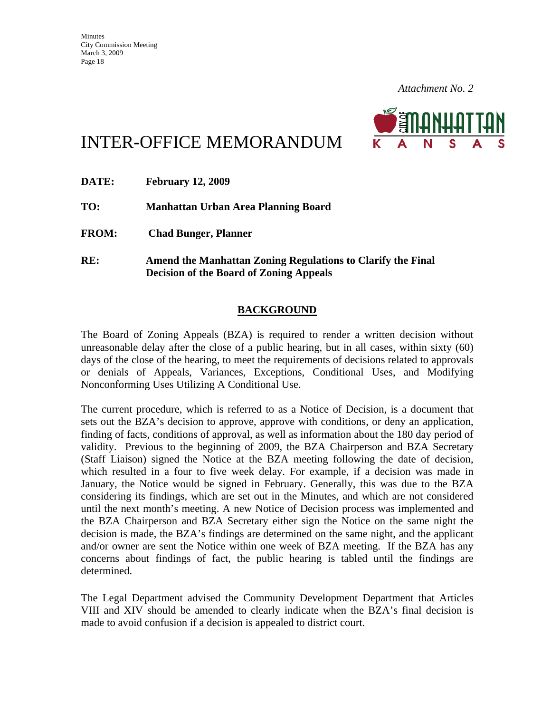

# INTER-OFFICE MEMORANDUM

| <b>DATE:</b> | <b>February 12, 2009</b>                                                                                      |
|--------------|---------------------------------------------------------------------------------------------------------------|
| TO:          | Manhattan Urban Area Planning Board                                                                           |
| <b>FROM:</b> | <b>Chad Bunger, Planner</b>                                                                                   |
| RE:          | Amend the Manhattan Zoning Regulations to Clarify the Final<br><b>Decision of the Board of Zoning Appeals</b> |

#### **BACKGROUND**

The Board of Zoning Appeals (BZA) is required to render a written decision without unreasonable delay after the close of a public hearing, but in all cases, within sixty (60) days of the close of the hearing, to meet the requirements of decisions related to approvals or denials of Appeals, Variances, Exceptions, Conditional Uses, and Modifying Nonconforming Uses Utilizing A Conditional Use.

The current procedure, which is referred to as a Notice of Decision, is a document that sets out the BZA's decision to approve, approve with conditions, or deny an application, finding of facts, conditions of approval, as well as information about the 180 day period of validity. Previous to the beginning of 2009, the BZA Chairperson and BZA Secretary (Staff Liaison) signed the Notice at the BZA meeting following the date of decision, which resulted in a four to five week delay. For example, if a decision was made in January, the Notice would be signed in February. Generally, this was due to the BZA considering its findings, which are set out in the Minutes, and which are not considered until the next month's meeting. A new Notice of Decision process was implemented and the BZA Chairperson and BZA Secretary either sign the Notice on the same night the decision is made, the BZA's findings are determined on the same night, and the applicant and/or owner are sent the Notice within one week of BZA meeting. If the BZA has any concerns about findings of fact, the public hearing is tabled until the findings are determined.

The Legal Department advised the Community Development Department that Articles VIII and XIV should be amended to clearly indicate when the BZA's final decision is made to avoid confusion if a decision is appealed to district court.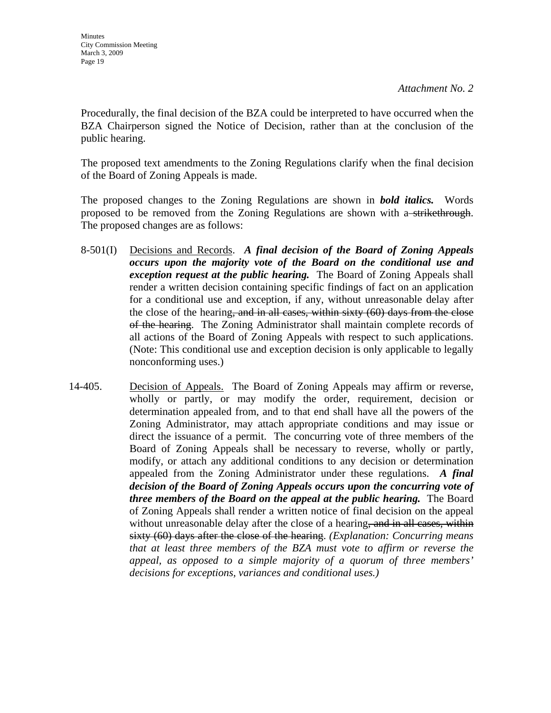Procedurally, the final decision of the BZA could be interpreted to have occurred when the BZA Chairperson signed the Notice of Decision, rather than at the conclusion of the public hearing.

The proposed text amendments to the Zoning Regulations clarify when the final decision of the Board of Zoning Appeals is made.

The proposed changes to the Zoning Regulations are shown in *bold italics.* Words proposed to be removed from the Zoning Regulations are shown with a strikethrough. The proposed changes are as follows:

- 8-501(I) Decisions and Records. *A final decision of the Board of Zoning Appeals occurs upon the majority vote of the Board on the conditional use and exception request at the public hearing.* The Board of Zoning Appeals shall render a written decision containing specific findings of fact on an application for a conditional use and exception, if any, without unreasonable delay after the close of the hearing, and in all cases, within sixty (60) days from the close of the hearing. The Zoning Administrator shall maintain complete records of all actions of the Board of Zoning Appeals with respect to such applications. (Note: This conditional use and exception decision is only applicable to legally nonconforming uses.)
- 14-405. Decision of Appeals. The Board of Zoning Appeals may affirm or reverse, wholly or partly, or may modify the order, requirement, decision or determination appealed from, and to that end shall have all the powers of the Zoning Administrator, may attach appropriate conditions and may issue or direct the issuance of a permit. The concurring vote of three members of the Board of Zoning Appeals shall be necessary to reverse, wholly or partly, modify, or attach any additional conditions to any decision or determination appealed from the Zoning Administrator under these regulations. *A final decision of the Board of Zoning Appeals occurs upon the concurring vote of three members of the Board on the appeal at the public hearing.* The Board of Zoning Appeals shall render a written notice of final decision on the appeal without unreasonable delay after the close of a hearing, and in all cases, within sixty (60) days after the close of the hearing. *(Explanation: Concurring means that at least three members of the BZA must vote to affirm or reverse the appeal, as opposed to a simple majority of a quorum of three members' decisions for exceptions, variances and conditional uses.)*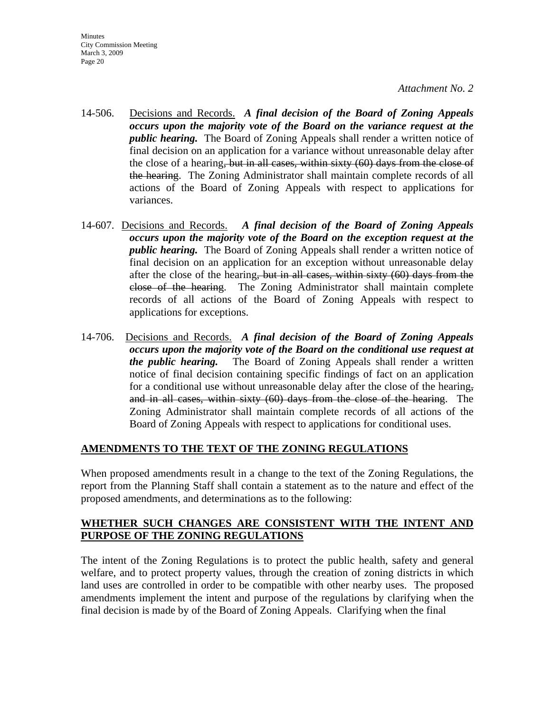**Minutes** City Commission Meeting March 3, 2009 Page 20

#### *Attachment No. 2*

- 14-506. Decisions and Records. *A final decision of the Board of Zoning Appeals occurs upon the majority vote of the Board on the variance request at the public hearing.* The Board of Zoning Appeals shall render a written notice of final decision on an application for a variance without unreasonable delay after the close of a hearing, but in all cases, within sixty (60) days from the close of the hearing. The Zoning Administrator shall maintain complete records of all actions of the Board of Zoning Appeals with respect to applications for variances.
- 14-607. Decisions and Records. *A final decision of the Board of Zoning Appeals occurs upon the majority vote of the Board on the exception request at the public hearing.* The Board of Zoning Appeals shall render a written notice of final decision on an application for an exception without unreasonable delay after the close of the hearing, but in all cases, within sixty (60) days from the close of the hearing. The Zoning Administrator shall maintain complete records of all actions of the Board of Zoning Appeals with respect to applications for exceptions.
- 14-706. Decisions and Records. *A final decision of the Board of Zoning Appeals occurs upon the majority vote of the Board on the conditional use request at the public hearing.* The Board of Zoning Appeals shall render a written notice of final decision containing specific findings of fact on an application for a conditional use without unreasonable delay after the close of the hearing, and in all cases, within sixty (60) days from the close of the hearing. The Zoning Administrator shall maintain complete records of all actions of the Board of Zoning Appeals with respect to applications for conditional uses.

#### **AMENDMENTS TO THE TEXT OF THE ZONING REGULATIONS**

When proposed amendments result in a change to the text of the Zoning Regulations, the report from the Planning Staff shall contain a statement as to the nature and effect of the proposed amendments, and determinations as to the following:

#### **WHETHER SUCH CHANGES ARE CONSISTENT WITH THE INTENT AND PURPOSE OF THE ZONING REGULATIONS**

The intent of the Zoning Regulations is to protect the public health, safety and general welfare, and to protect property values, through the creation of zoning districts in which land uses are controlled in order to be compatible with other nearby uses. The proposed amendments implement the intent and purpose of the regulations by clarifying when the final decision is made by of the Board of Zoning Appeals. Clarifying when the final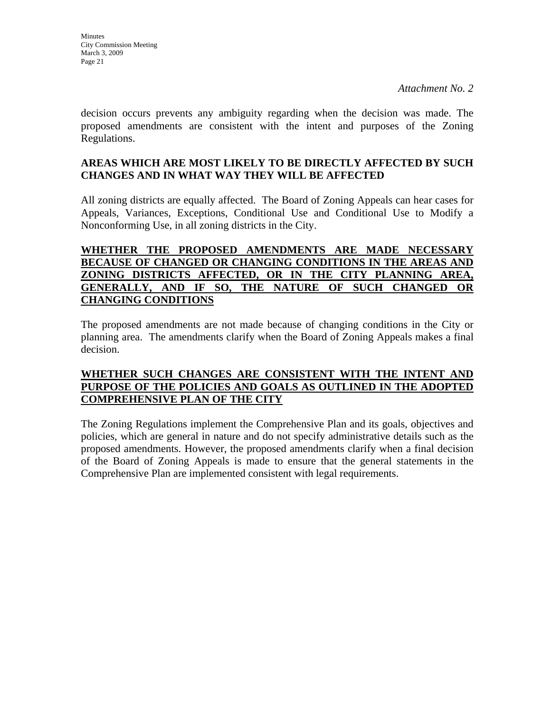decision occurs prevents any ambiguity regarding when the decision was made. The proposed amendments are consistent with the intent and purposes of the Zoning Regulations.

#### **AREAS WHICH ARE MOST LIKELY TO BE DIRECTLY AFFECTED BY SUCH CHANGES AND IN WHAT WAY THEY WILL BE AFFECTED**

All zoning districts are equally affected. The Board of Zoning Appeals can hear cases for Appeals, Variances, Exceptions, Conditional Use and Conditional Use to Modify a Nonconforming Use, in all zoning districts in the City.

#### **WHETHER THE PROPOSED AMENDMENTS ARE MADE NECESSARY BECAUSE OF CHANGED OR CHANGING CONDITIONS IN THE AREAS AND ZONING DISTRICTS AFFECTED, OR IN THE CITY PLANNING AREA, GENERALLY, AND IF SO, THE NATURE OF SUCH CHANGED OR CHANGING CONDITIONS**

The proposed amendments are not made because of changing conditions in the City or planning area. The amendments clarify when the Board of Zoning Appeals makes a final decision.

#### **WHETHER SUCH CHANGES ARE CONSISTENT WITH THE INTENT AND PURPOSE OF THE POLICIES AND GOALS AS OUTLINED IN THE ADOPTED COMPREHENSIVE PLAN OF THE CITY**

The Zoning Regulations implement the Comprehensive Plan and its goals, objectives and policies, which are general in nature and do not specify administrative details such as the proposed amendments. However, the proposed amendments clarify when a final decision of the Board of Zoning Appeals is made to ensure that the general statements in the Comprehensive Plan are implemented consistent with legal requirements.